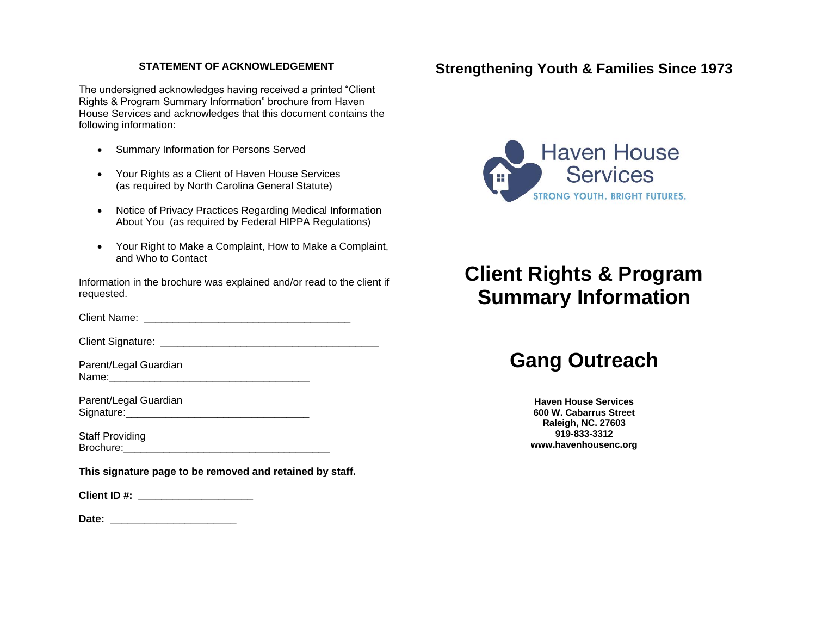### **STATEMENT OF ACKNOWLEDGEMENT**

The undersigned acknowledges having received a printed "Client Rights & Program Summary Information" brochure from Haven House Services and acknowledges that this document contains the following information:

- Summary Information for Persons Served
- Your Rights as a Client of Haven House Services (as required by North Carolina General Statute)
- Notice of Privacy Practices Regarding Medical Information About You (as required by Federal HIPPA Regulations)
- Your Right to Make a Complaint, How to Make a Complaint, and Who to Contact

Information in the brochure was explained and/or read to the client if requested.

Client Name: \_\_\_\_\_\_\_\_\_\_\_\_\_\_\_\_\_\_\_\_\_\_\_\_\_\_\_\_\_\_\_\_\_\_\_\_

Client Signature: **Example 2018** 

Parent/Legal Guardian Name:

Parent/Legal Guardian Signature:

Staff Providing Brochure:\_\_\_\_\_\_\_\_\_\_\_\_\_\_\_\_\_\_\_\_\_\_\_\_\_\_\_\_\_\_\_\_\_\_\_\_

**This signature page to be removed and retained by staff.**

**Client ID #: \_\_\_\_\_\_\_\_\_\_\_\_\_\_\_\_\_\_\_\_** 

Date:

# **Strengthening Youth & Families Since 1973**



# **Client Rights & Program Summary Information**

# **Gang Outreach**

**Haven House Services 600 W. Cabarrus Street Raleigh, NC. 27603 919-833-3312 www.havenhousenc.org**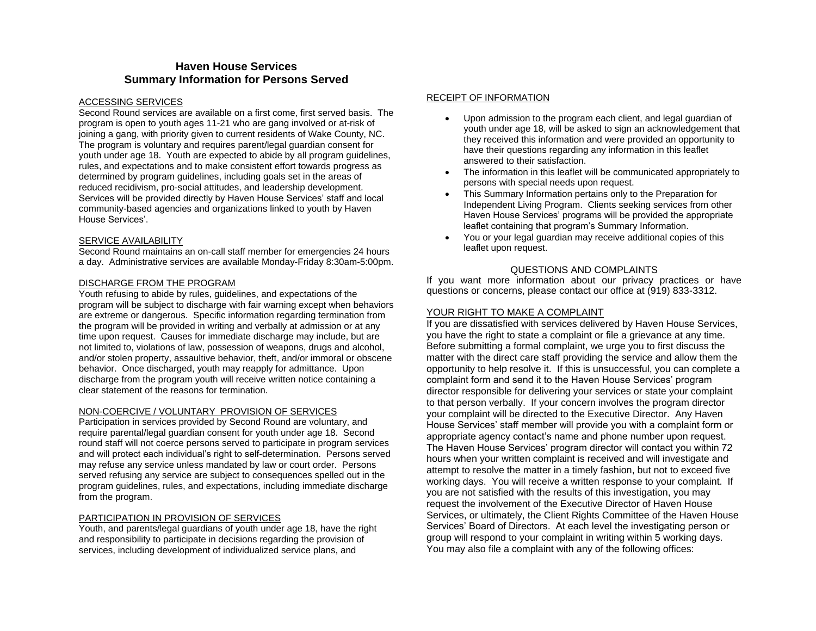## **Haven House Services Summary Information for Persons Served**

#### ACCESSING SERVICES

Second Round services are available on a first come, first served basis. The program is open to youth ages 11-21 who are gang involved or at-risk of joining a gang, with priority given to current residents of Wake County, NC. The program is voluntary and requires parent/legal guardian consent for youth under age 18. Youth are expected to abide by all program guidelines, rules, and expectations and to make consistent effort towards progress as determined by program guidelines, including goals set in the areas of reduced recidivism, pro-social attitudes, and leadership development. Services will be provided directly by Haven House Services' staff and local community-based agencies and organizations linked to youth by Haven House Services'.

#### SERVICE AVAILABILITY

Second Round maintains an on-call staff member for emergencies 24 hours a day. Administrative services are available Monday-Friday 8:30am-5:00pm.

#### DISCHARGE FROM THE PROGRAM

Youth refusing to abide by rules, guidelines, and expectations of the program will be subject to discharge with fair warning except when behaviors are extreme or dangerous. Specific information regarding termination from the program will be provided in writing and verbally at admission or at any time upon request. Causes for immediate discharge may include, but are not limited to, violations of law, possession of weapons, drugs and alcohol, and/or stolen property, assaultive behavior, theft, and/or immoral or obscene behavior. Once discharged, youth may reapply for admittance. Upon discharge from the program youth will receive written notice containing a clear statement of the reasons for termination.

#### NON-COERCIVE / VOLUNTARY PROVISION OF SERVICES

Participation in services provided by Second Round are voluntary, and require parental/legal guardian consent for youth under age 18. Second round staff will not coerce persons served to participate in program services and will protect each individual's right to self-determination. Persons served may refuse any service unless mandated by law or court order. Persons served refusing any service are subject to consequences spelled out in the program guidelines, rules, and expectations, including immediate discharge from the program.

#### PARTICIPATION IN PROVISION OF SERVICES

Youth, and parents/legal guardians of youth under age 18, have the right and responsibility to participate in decisions regarding the provision of services, including development of individualized service plans, and

#### RECEIPT OF INFORMATION

- Upon admission to the program each client, and legal guardian of youth under age 18, will be asked to sign an acknowledgement that they received this information and were provided an opportunity to have their questions regarding any information in this leaflet answered to their satisfaction.
- The information in this leaflet will be communicated appropriately to persons with special needs upon request.
- This Summary Information pertains only to the Preparation for Independent Living Program. Clients seeking services from other Haven House Services' programs will be provided the appropriate leaflet containing that program's Summary Information.
- You or your legal guardian may receive additional copies of this leaflet upon request.

#### QUESTIONS AND COMPLAINTS

If you want more information about our privacy practices or have questions or concerns, please contact our office at (919) 833-3312.

#### YOUR RIGHT TO MAKE A COMPLAINT

If you are dissatisfied with services delivered by Haven House Services, you have the right to state a complaint or file a grievance at any time. Before submitting a formal complaint, we urge you to first discuss the matter with the direct care staff providing the service and allow them the opportunity to help resolve it. If this is unsuccessful, you can complete a complaint form and send it to the Haven House Services' program director responsible for delivering your services or state your complaint to that person verbally. If your concern involves the program director your complaint will be directed to the Executive Director. Any Haven House Services' staff member will provide you with a complaint form or appropriate agency contact's name and phone number upon request. The Haven House Services' program director will contact you within 72 hours when your written complaint is received and will investigate and attempt to resolve the matter in a timely fashion, but not to exceed five working days. You will receive a written response to your complaint. If you are not satisfied with the results of this investigation, you may request the involvement of the Executive Director of Haven House Services, or ultimately, the Client Rights Committee of the Haven House Services' Board of Directors. At each level the investigating person or group will respond to your complaint in writing within 5 working days. You may also file a complaint with any of the following offices: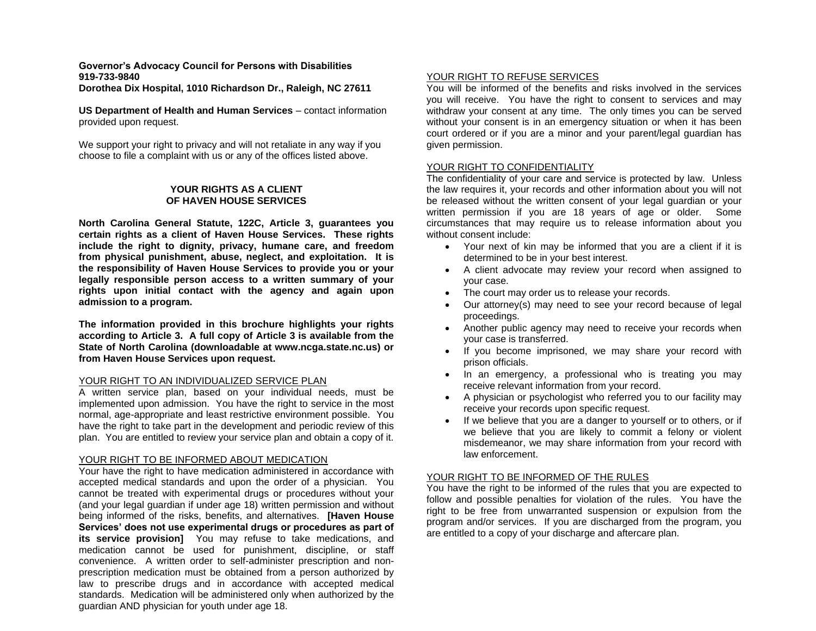# **Governor's Advocacy Council for Persons with Disabilities 919-733-9840**

**Dorothea Dix Hospital, 1010 Richardson Dr., Raleigh, NC 27611**

**US Department of Health and Human Services** – contact information provided upon request.

We support your right to privacy and will not retaliate in any way if you choose to file a complaint with us or any of the offices listed above.

#### **YOUR RIGHTS AS A CLIENT OF HAVEN HOUSE SERVICES**

**North Carolina General Statute, 122C, Article 3, guarantees you certain rights as a client of Haven House Services. These rights include the right to dignity, privacy, humane care, and freedom from physical punishment, abuse, neglect, and exploitation. It is the responsibility of Haven House Services to provide you or your legally responsible person access to a written summary of your rights upon initial contact with the agency and again upon admission to a program.**

**The information provided in this brochure highlights your rights according to Article 3. A full copy of Article 3 is available from the State of North Carolina (downloadable at www.ncga.state.nc.us) or from Haven House Services upon request.**

#### YOUR RIGHT TO AN INDIVIDUALIZED SERVICE PLAN

A written service plan, based on your individual needs, must be implemented upon admission. You have the right to service in the most normal, age-appropriate and least restrictive environment possible. You have the right to take part in the development and periodic review of this plan. You are entitled to review your service plan and obtain a copy of it.

#### YOUR RIGHT TO BE INFORMED ABOUT MEDICATION

Your have the right to have medication administered in accordance with accepted medical standards and upon the order of a physician. You cannot be treated with experimental drugs or procedures without your (and your legal guardian if under age 18) written permission and without being informed of the risks, benefits, and alternatives. **[Haven House Services' does not use experimental drugs or procedures as part of its service provision]** You may refuse to take medications, and medication cannot be used for punishment, discipline, or staff convenience. A written order to self-administer prescription and nonprescription medication must be obtained from a person authorized by law to prescribe drugs and in accordance with accepted medical standards. Medication will be administered only when authorized by the guardian AND physician for youth under age 18.

#### YOUR RIGHT TO REFUSE SERVICES

You will be informed of the benefits and risks involved in the services you will receive. You have the right to consent to services and may withdraw your consent at any time. The only times you can be served without your consent is in an emergency situation or when it has been court ordered or if you are a minor and your parent/legal guardian has given permission.

#### YOUR RIGHT TO CONFIDENTIALITY

The confidentiality of your care and service is protected by law. Unless the law requires it, your records and other information about you will not be released without the written consent of your legal guardian or your written permission if you are 18 years of age or older. Some circumstances that may require us to release information about you without consent include:

- Your next of kin may be informed that you are a client if it is determined to be in your best interest.
- A client advocate may review your record when assigned to your case.
- The court may order us to release your records.
- Our attorney(s) may need to see your record because of legal proceedings.
- Another public agency may need to receive your records when your case is transferred.
- If you become imprisoned, we may share your record with prison officials.
- In an emergency, a professional who is treating you may receive relevant information from your record.
- A physician or psychologist who referred you to our facility may receive your records upon specific request.
- If we believe that you are a danger to yourself or to others, or if we believe that you are likely to commit a felony or violent misdemeanor, we may share information from your record with law enforcement.

#### YOUR RIGHT TO BE INFORMED OF THE RULES

You have the right to be informed of the rules that you are expected to follow and possible penalties for violation of the rules. You have the right to be free from unwarranted suspension or expulsion from the program and/or services. If you are discharged from the program, you are entitled to a copy of your discharge and aftercare plan.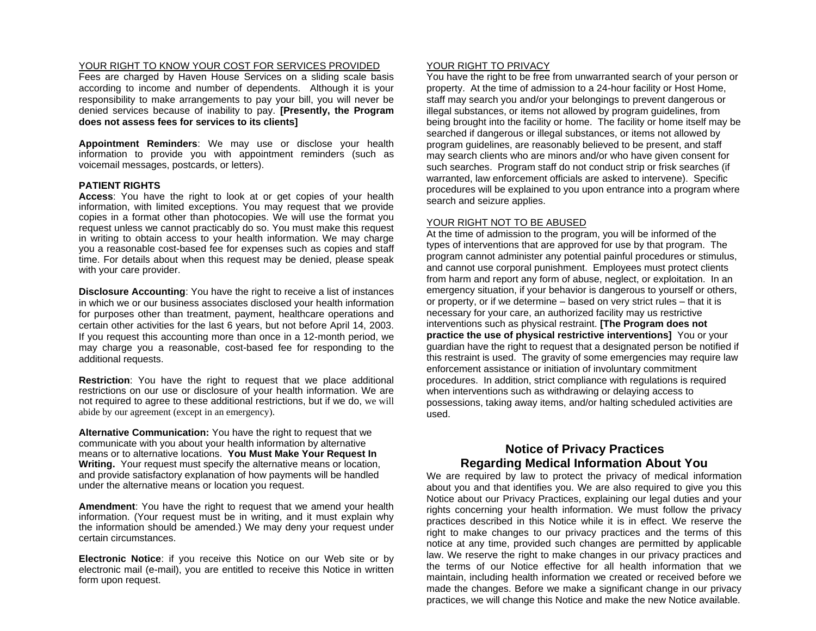#### YOUR RIGHT TO KNOW YOUR COST FOR SERVICES PROVIDED

Fees are charged by Haven House Services on a sliding scale basis according to income and number of dependents. Although it is your responsibility to make arrangements to pay your bill, you will never be denied services because of inability to pay. **[Presently, the Program does not assess fees for services to its clients]** 

**Appointment Reminders**: We may use or disclose your health information to provide you with appointment reminders (such as voicemail messages, postcards, or letters).

#### **PATIENT RIGHTS**

**Access**: You have the right to look at or get copies of your health information, with limited exceptions. You may request that we provide copies in a format other than photocopies. We will use the format you request unless we cannot practicably do so. You must make this request in writing to obtain access to your health information. We may charge you a reasonable cost-based fee for expenses such as copies and staff time. For details about when this request may be denied, please speak with your care provider.

**Disclosure Accounting**: You have the right to receive a list of instances in which we or our business associates disclosed your health information for purposes other than treatment, payment, healthcare operations and certain other activities for the last 6 years, but not before April 14, 2003. If you request this accounting more than once in a 12-month period, we may charge you a reasonable, cost-based fee for responding to the additional requests.

**Restriction**: You have the right to request that we place additional restrictions on our use or disclosure of your health information. We are not required to agree to these additional restrictions, but if we do, we will abide by our agreement (except in an emergency).

**Alternative Communication:** You have the right to request that we communicate with you about your health information by alternative means or to alternative locations. **You Must Make Your Request In Writing.** Your request must specify the alternative means or location, and provide satisfactory explanation of how payments will be handled under the alternative means or location you request.

**Amendment**: You have the right to request that we amend your health information. (Your request must be in writing, and it must explain why the information should be amended.) We may deny your request under certain circumstances.

**Electronic Notice**: if you receive this Notice on our Web site or by electronic mail (e-mail), you are entitled to receive this Notice in written form upon request.

#### YOUR RIGHT TO PRIVACY

You have the right to be free from unwarranted search of your person or property. At the time of admission to a 24-hour facility or Host Home, staff may search you and/or your belongings to prevent dangerous or illegal substances, or items not allowed by program guidelines, from being brought into the facility or home. The facility or home itself may be searched if dangerous or illegal substances, or items not allowed by program guidelines, are reasonably believed to be present, and staff may search clients who are minors and/or who have given consent for such searches. Program staff do not conduct strip or frisk searches (if warranted, law enforcement officials are asked to intervene). Specific procedures will be explained to you upon entrance into a program where search and seizure applies.

#### YOUR RIGHT NOT TO BE ABUSED

At the time of admission to the program, you will be informed of the types of interventions that are approved for use by that program. The program cannot administer any potential painful procedures or stimulus, and cannot use corporal punishment. Employees must protect clients from harm and report any form of abuse, neglect, or exploitation. In an emergency situation, if your behavior is dangerous to yourself or others, or property, or if we determine – based on very strict rules – that it is necessary for your care, an authorized facility may us restrictive interventions such as physical restraint. **[The Program does not practice the use of physical restrictive interventions]** You or your guardian have the right to request that a designated person be notified if this restraint is used. The gravity of some emergencies may require law enforcement assistance or initiation of involuntary commitment procedures. In addition, strict compliance with regulations is required when interventions such as withdrawing or delaying access to possessions, taking away items, and/or halting scheduled activities are used.

# **Notice of Privacy Practices Regarding Medical Information About You**

We are required by law to protect the privacy of medical information about you and that identifies you. We are also required to give you this Notice about our Privacy Practices, explaining our legal duties and your rights concerning your health information. We must follow the privacy practices described in this Notice while it is in effect. We reserve the right to make changes to our privacy practices and the terms of this notice at any time, provided such changes are permitted by applicable law. We reserve the right to make changes in our privacy practices and the terms of our Notice effective for all health information that we maintain, including health information we created or received before we made the changes. Before we make a significant change in our privacy practices, we will change this Notice and make the new Notice available.